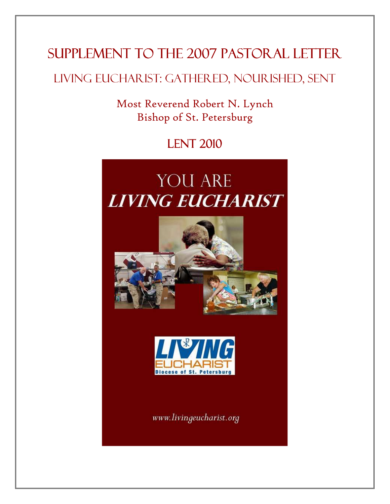# SUPPLEMENT TO THE 2007 PASTORAL LETTER

# Living Eucharist: Gathered, Nourished, Sent

Most Reverend Robert N. Lynch Bishop of St. Petersburg

**LENT 2010** 

# **YOU ARE LIVING EUCHARIST**





www.livingeucharist.org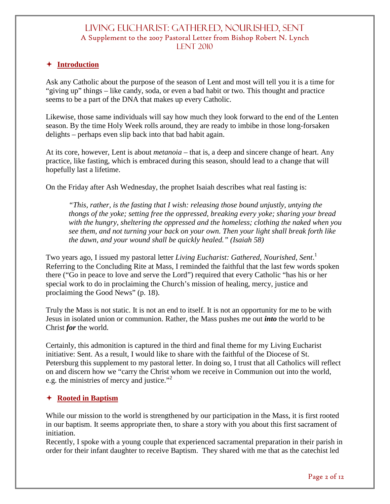#### **Introduction**

Ask any Catholic about the purpose of the season of Lent and most will tell you it is a time for "giving up" things – like candy, soda, or even a bad habit or two. This thought and practice seems to be a part of the DNA that makes up every Catholic.

Likewise, those same individuals will say how much they look forward to the end of the Lenten season. By the time Holy Week rolls around, they are ready to imbibe in those long-forsaken delights – perhaps even slip back into that bad habit again.

At its core, however, Lent is about *metanoia* – that is, a deep and sincere change of heart. Any practice, like fasting, which is embraced during this season, should lead to a change that will hopefully last a lifetime.

On the Friday after Ash Wednesday, the prophet Isaiah describes what real fasting is:

*"This, rather, is the fasting that I wish: releasing those bound unjustly, untying the thongs of the yoke; setting free the oppressed, breaking every yoke; sharing your bread with the hungry, sheltering the oppressed and the homeless; clothing the naked when you see them, and not turning your back on your own. Then your light shall break forth like the dawn, and your wound shall be quickly healed." (Isaiah 58)* 

Two years ago, I issued my pastoral letter *Living Eucharist: Gathered, Nourished, Sent*. 1 Referring to the Concluding Rite at Mass, I reminded the faithful that the last few words spoken there ("Go in peace to love and serve the Lord") required that every Catholic "has his or her special work to do in proclaiming the Church's mission of healing, mercy, justice and proclaiming the Good News" (p. 18).

Truly the Mass is not static. It is not an end to itself. It is not an opportunity for me to be with Jesus in isolated union or communion. Rather, the Mass pushes me out *into* the world to be Christ *for* the world.

Certainly, this admonition is captured in the third and final theme for my Living Eucharist initiative: Sent. As a result, I would like to share with the faithful of the Diocese of St. Petersburg this supplement to my pastoral letter. In doing so, I trust that all Catholics will reflect on and discern how we "carry the Christ whom we receive in Communion out into the world, e.g. the ministries of mercy and justice."<sup>2</sup>

#### **Rooted in Baptism**

While our mission to the world is strengthened by our participation in the Mass, it is first rooted in our baptism. It seems appropriate then, to share a story with you about this first sacrament of initiation.

Recently, I spoke with a young couple that experienced sacramental preparation in their parish in order for their infant daughter to receive Baptism. They shared with me that as the catechist led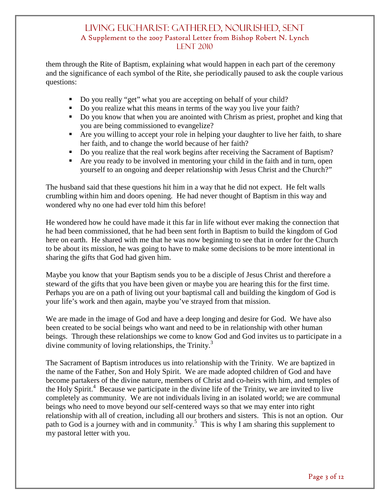them through the Rite of Baptism, explaining what would happen in each part of the ceremony and the significance of each symbol of the Rite, she periodically paused to ask the couple various questions:

- Do you really "get" what you are accepting on behalf of your child?
- Do you realize what this means in terms of the way you live your faith?
- Do you know that when you are anointed with Chrism as priest, prophet and king that you are being commissioned to evangelize?
- Are you willing to accept your role in helping your daughter to live her faith, to share her faith, and to change the world because of her faith?
- Do you realize that the real work begins after receiving the Sacrament of Baptism?
- Are you ready to be involved in mentoring your child in the faith and in turn, open yourself to an ongoing and deeper relationship with Jesus Christ and the Church?"

The husband said that these questions hit him in a way that he did not expect. He felt walls crumbling within him and doors opening. He had never thought of Baptism in this way and wondered why no one had ever told him this before!

He wondered how he could have made it this far in life without ever making the connection that he had been commissioned, that he had been sent forth in Baptism to build the kingdom of God here on earth. He shared with me that he was now beginning to see that in order for the Church to be about its mission, he was going to have to make some decisions to be more intentional in sharing the gifts that God had given him.

Maybe you know that your Baptism sends you to be a disciple of Jesus Christ and therefore a steward of the gifts that you have been given or maybe you are hearing this for the first time. Perhaps you are on a path of living out your baptismal call and building the kingdom of God is your life's work and then again, maybe you've strayed from that mission.

We are made in the image of God and have a deep longing and desire for God. We have also been created to be social beings who want and need to be in relationship with other human beings. Through these relationships we come to know God and God invites us to participate in a divine community of loving relationships, the Trinity.<sup>3</sup>

The Sacrament of Baptism introduces us into relationship with the Trinity. We are baptized in the name of the Father, Son and Holy Spirit. We are made adopted children of God and have become partakers of the divine nature, members of Christ and co-heirs with him, and temples of the Holy Spirit.<sup>4</sup> Because we participate in the divine life of the Trinity, we are invited to live completely as community. We are not individuals living in an isolated world; we are communal beings who need to move beyond our self-centered ways so that we may enter into right relationship with all of creation, including all our brothers and sisters. This is not an option. Our path to God is a journey with and in community.<sup>5</sup> This is why I am sharing this supplement to my pastoral letter with you.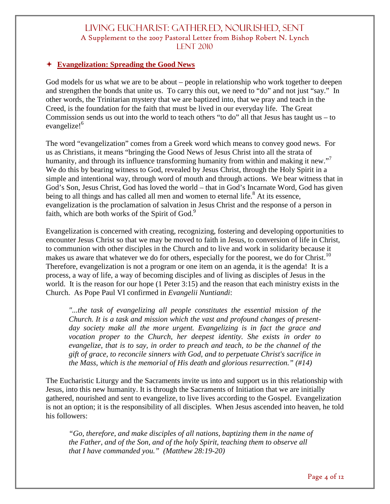#### **Evangelization: Spreading the Good News**

God models for us what we are to be about – people in relationship who work together to deepen and strengthen the bonds that unite us. To carry this out, we need to "do" and not just "say." In other words, the Trinitarian mystery that we are baptized into, that we pray and teach in the Creed, is the foundation for the faith that must be lived in our everyday life. The Great Commission sends us out into the world to teach others "to do" all that Jesus has taught us – to evangelize!<sup>6</sup>

The word "evangelization" comes from a Greek word which means to convey good news. For us as Christians, it means "bringing the Good News of Jesus Christ into all the strata of humanity, and through its influence transforming humanity from within and making it new."<sup>7</sup> We do this by bearing witness to God, revealed by Jesus Christ, through the Holy Spirit in a simple and intentional way, through word of mouth and through actions. We bear witness that in God's Son, Jesus Christ, God has loved the world – that in God's Incarnate Word, God has given being to all things and has called all men and women to eternal life.<sup>8</sup> At its essence, evangelization is the proclamation of salvation in Jesus Christ and the response of a person in faith, which are both works of the Spirit of God.<sup>9</sup>

Evangelization is concerned with creating, recognizing, fostering and developing opportunities to encounter Jesus Christ so that we may be moved to faith in Jesus, to conversion of life in Christ, to communion with other disciples in the Church and to live and work in solidarity because it makes us aware that whatever we do for others, especially for the poorest, we do for Christ.<sup>10</sup> Therefore, evangelization is not a program or one item on an agenda, it is the agenda! It is a process, a way of life, a way of becoming disciples and of living as disciples of Jesus in the world. It is the reason for our hope (1 Peter 3:15) and the reason that each ministry exists in the Church. As Pope Paul VI confirmed in *Evangelii Nuntiandi*:

*"...the task of evangelizing all people constitutes the essential mission of the Church. It is a task and mission which the vast and profound changes of presentday society make all the more urgent. Evangelizing is in fact the grace and vocation proper to the Church, her deepest identity. She exists in order to evangelize, that is to say, in order to preach and teach, to be the channel of the gift of grace, to reconcile sinners with God, and to perpetuate Christ's sacrifice in the Mass, which is the memorial of His death and glorious resurrection." (#14)*

The Eucharistic Liturgy and the Sacraments invite us into and support us in this relationship with Jesus, into this new humanity. It is through the Sacraments of Initiation that we are initially gathered, nourished and sent to evangelize, to live lives according to the Gospel. Evangelization is not an option; it is the responsibility of all disciples. When Jesus ascended into heaven, he told his followers:

*"Go, therefore, and make disciples of all nations, baptizing them in the name of the Father, and of the Son, and of the holy Spirit, teaching them to observe all that I have commanded you." (Matthew 28:19-20)*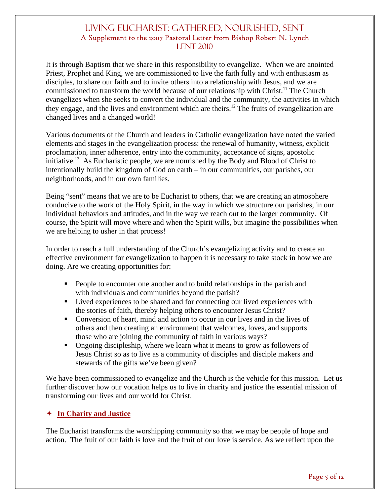It is through Baptism that we share in this responsibility to evangelize. When we are anointed Priest, Prophet and King, we are commissioned to live the faith fully and with enthusiasm as disciples, to share our faith and to invite others into a relationship with Jesus, and we are commissioned to transform the world because of our relationship with Christ.<sup>11</sup> The Church evangelizes when she seeks to convert the individual and the community, the activities in which they engage, and the lives and environment which are theirs.<sup>12</sup> The fruits of evangelization are changed lives and a changed world!

Various documents of the Church and leaders in Catholic evangelization have noted the varied elements and stages in the evangelization process: the renewal of humanity, witness, explicit proclamation, inner adherence, entry into the community, acceptance of signs, apostolic initiative.<sup>13</sup> As Eucharistic people, we are nourished by the Body and Blood of Christ to intentionally build the kingdom of God on earth – in our communities, our parishes, our neighborhoods, and in our own families.

Being "sent" means that we are to be Eucharist to others, that we are creating an atmosphere conducive to the work of the Holy Spirit, in the way in which we structure our parishes, in our individual behaviors and attitudes, and in the way we reach out to the larger community. Of course, the Spirit will move where and when the Spirit wills, but imagine the possibilities when we are helping to usher in that process!

In order to reach a full understanding of the Church's evangelizing activity and to create an effective environment for evangelization to happen it is necessary to take stock in how we are doing. Are we creating opportunities for:

- People to encounter one another and to build relationships in the parish and with individuals and communities beyond the parish?
- Lived experiences to be shared and for connecting our lived experiences with the stories of faith, thereby helping others to encounter Jesus Christ?
- Conversion of heart, mind and action to occur in our lives and in the lives of others and then creating an environment that welcomes, loves, and supports those who are joining the community of faith in various ways?
- Ongoing discipleship, where we learn what it means to grow as followers of Jesus Christ so as to live as a community of disciples and disciple makers and stewards of the gifts we've been given?

We have been commissioned to evangelize and the Church is the vehicle for this mission. Let us further discover how our vocation helps us to live in charity and justice the essential mission of transforming our lives and our world for Christ.

## **In Charity and Justice**

The Eucharist transforms the worshipping community so that we may be people of hope and action. The fruit of our faith is love and the fruit of our love is service. As we reflect upon the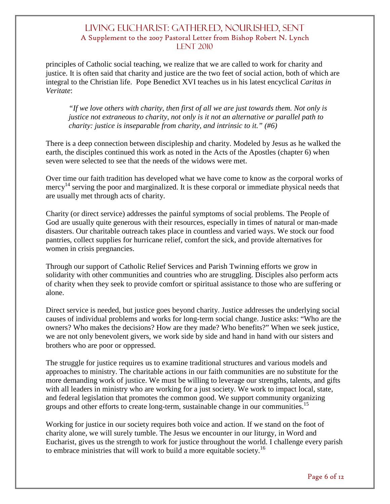principles of Catholic social teaching, we realize that we are called to work for charity and justice. It is often said that charity and justice are the two feet of social action, both of which are integral to the Christian life. Pope Benedict XVI teaches us in his latest encyclical *Caritas in Veritate*:

*"If we love others with charity, then first of all we are just towards them. Not only is justice not extraneous to charity, not only is it not an alternative or parallel path to charity: justice is inseparable from charity, and intrinsic to it." (#6)* 

There is a deep connection between discipleship and charity. Modeled by Jesus as he walked the earth, the disciples continued this work as noted in the Acts of the Apostles (chapter 6) when seven were selected to see that the needs of the widows were met.

Over time our faith tradition has developed what we have come to know as the corporal works of mercy<sup>14</sup> serving the poor and marginalized. It is these corporal or immediate physical needs that are usually met through acts of charity.

Charity (or direct service) addresses the painful symptoms of social problems. The People of God are usually quite generous with their resources, especially in times of natural or man-made disasters. Our charitable outreach takes place in countless and varied ways. We stock our food pantries, collect supplies for hurricane relief, comfort the sick, and provide alternatives for women in crisis pregnancies.

Through our support of Catholic Relief Services and Parish Twinning efforts we grow in solidarity with other communities and countries who are struggling. Disciples also perform acts of charity when they seek to provide comfort or spiritual assistance to those who are suffering or alone.

Direct service is needed, but justice goes beyond charity. Justice addresses the underlying social causes of individual problems and works for long-term social change. Justice asks: "Who are the owners? Who makes the decisions? How are they made? Who benefits?" When we seek justice, we are not only benevolent givers, we work side by side and hand in hand with our sisters and brothers who are poor or oppressed.

The struggle for justice requires us to examine traditional structures and various models and approaches to ministry. The charitable actions in our faith communities are no substitute for the more demanding work of justice. We must be willing to leverage our strengths, talents, and gifts with all leaders in ministry who are working for a just society. We work to impact local, state, and federal legislation that promotes the common good. We support community organizing groups and other efforts to create long-term, sustainable change in our communities.<sup>15</sup>

Working for justice in our society requires both voice and action. If we stand on the foot of charity alone, we will surely tumble. The Jesus we encounter in our liturgy, in Word and Eucharist, gives us the strength to work for justice throughout the world. I challenge every parish to embrace ministries that will work to build a more equitable society.<sup>16</sup>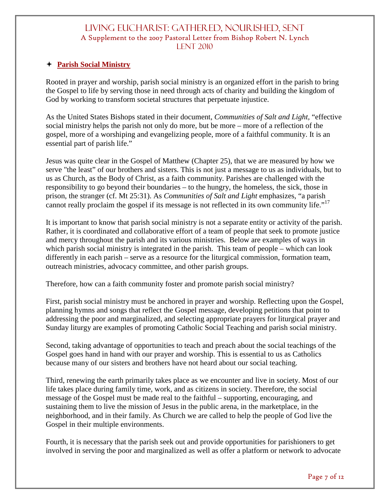#### **Parish Social Ministry**

Rooted in prayer and worship, parish social ministry is an organized effort in the parish to bring the Gospel to life by serving those in need through acts of charity and building the kingdom of God by working to transform societal structures that perpetuate injustice.

As the United States Bishops stated in their document, *Communities of Salt and Light,* "effective social ministry helps the parish not only do more, but be more – more of a reflection of the gospel, more of a worshiping and evangelizing people, more of a faithful community. It is an essential part of parish life."

Jesus was quite clear in the Gospel of Matthew (Chapter 25), that we are measured by how we serve "the least" of our brothers and sisters. This is not just a message to us as individuals, but to us as Church, as the Body of Christ, as a faith community. Parishes are challenged with the responsibility to go beyond their boundaries – to the hungry, the homeless, the sick, those in prison, the stranger (cf. Mt 25:31). As *Communities of Salt and Light* emphasizes*,* "a parish cannot really proclaim the gospel if its message is not reflected in its own community life."<sup>17</sup>

It is important to know that parish social ministry is not a separate entity or activity of the parish. Rather, it is coordinated and collaborative effort of a team of people that seek to promote justice and mercy throughout the parish and its various ministries. Below are examples of ways in which parish social ministry is integrated in the parish. This team of people – which can look differently in each parish – serve as a resource for the liturgical commission, formation team, outreach ministries, advocacy committee, and other parish groups.

Therefore, how can a faith community foster and promote parish social ministry?

First, parish social ministry must be anchored in prayer and worship. Reflecting upon the Gospel, planning hymns and songs that reflect the Gospel message, developing petitions that point to addressing the poor and marginalized, and selecting appropriate prayers for liturgical prayer and Sunday liturgy are examples of promoting Catholic Social Teaching and parish social ministry.

Second, taking advantage of opportunities to teach and preach about the social teachings of the Gospel goes hand in hand with our prayer and worship. This is essential to us as Catholics because many of our sisters and brothers have not heard about our social teaching.

Third, renewing the earth primarily takes place as we encounter and live in society. Most of our life takes place during family time, work, and as citizens in society. Therefore, the social message of the Gospel must be made real to the faithful – supporting, encouraging, and sustaining them to live the mission of Jesus in the public arena, in the marketplace, in the neighborhood, and in their family. As Church we are called to help the people of God live the Gospel in their multiple environments.

Fourth, it is necessary that the parish seek out and provide opportunities for parishioners to get involved in serving the poor and marginalized as well as offer a platform or network to advocate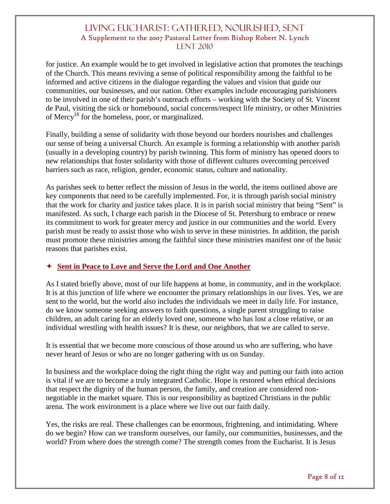for justice. An example would be to get involved in legislative action that promotes the teachings of the Church. This means reviving a sense of political responsibility among the faithful to be informed and active citizens in the dialogue regarding the values and vision that guide our communities, our businesses, and our nation. Other examples include encouraging parishioners to be involved in one of their parish's outreach efforts – working with the Society of St. Vincent de Paul, visiting the sick or homebound, social concerns/respect life ministry, or other Ministries of Mercy<sup>18</sup> for the homeless, poor, or marginalized.

Finally, building a sense of solidarity with those beyond our borders nourishes and challenges our sense of being a universal Church. An example is forming a relationship with another parish (usually in a developing country) by parish twinning. This form of ministry has opened doors to new relationships that foster solidarity with those of different cultures overcoming perceived barriers such as race, religion, gender, economic status, culture and nationality.

As parishes seek to better reflect the mission of Jesus in the world, the items outlined above are key components that need to be carefully implemented. For, it is through parish social ministry that the work for charity and justice takes place. It is in parish social ministry that being "Sent" is manifested. As such, I charge each parish in the Diocese of St. Petersburg to embrace or renew its commitment to work for greater mercy and justice in our communities and the world. Every parish must be ready to assist those who wish to serve in these ministries. In addition, the parish must promote these ministries among the faithful since these ministries manifest one of the basic reasons that parishes exist.

#### **Sent in Peace to Love and Serve the Lord and One Another**

As I stated briefly above, most of our life happens at home, in community, and in the workplace. It is at this junction of life where we encounter the primary relationships in our lives. Yes, we are sent to the world, but the world also includes the individuals we meet in daily life. For instance, do we know someone seeking answers to faith questions, a single parent struggling to raise children, an adult caring for an elderly loved one, someone who has lost a close relative, or an individual wrestling with health issues? It is these, our neighbors, that we are called to serve.

It is essential that we become more conscious of those around us who are suffering, who have never heard of Jesus or who are no longer gathering with us on Sunday.

In business and the workplace doing the right thing the right way and putting our faith into action is vital if we are to become a truly integrated Catholic. Hope is restored when ethical decisions that respect the dignity of the human person, the family, and creation are considered nonnegotiable in the market square. This is our responsibility as baptized Christians in the public arena. The work environment is a place where we live out our faith daily.

Yes, the risks are real. These challenges can be enormous, frightening, and intimidating. Where do we begin? How can we transform ourselves, our family, our communities, businesses, and the world? From where does the strength come? The strength comes from the Eucharist. It is Jesus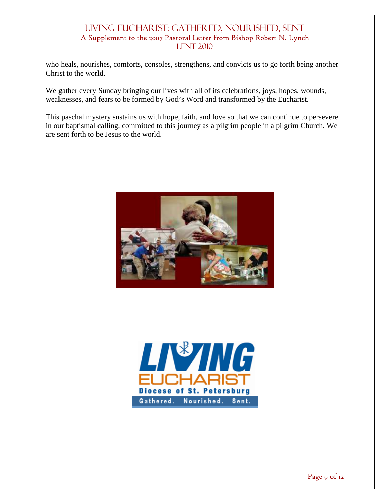who heals, nourishes, comforts, consoles, strengthens, and convicts us to go forth being another Christ to the world.

We gather every Sunday bringing our lives with all of its celebrations, joys, hopes, wounds, weaknesses, and fears to be formed by God's Word and transformed by the Eucharist.

This paschal mystery sustains us with hope, faith, and love so that we can continue to persevere in our baptismal calling, committed to this journey as a pilgrim people in a pilgrim Church. We are sent forth to be Jesus to the world.



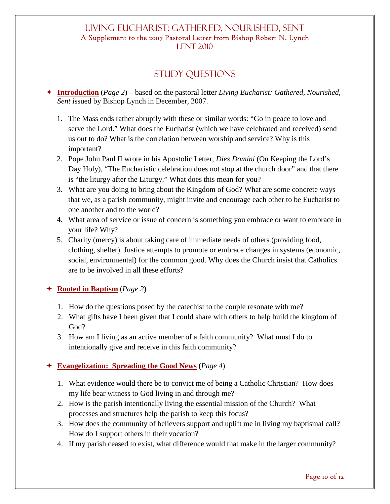# Study Questions

- **Introduction** (*Page 2*) based on the pastoral letter *Living Eucharist: Gathered, Nourished, Sent* issued by Bishop Lynch in December, 2007.
	- 1. The Mass ends rather abruptly with these or similar words: "Go in peace to love and serve the Lord." What does the Eucharist (which we have celebrated and received) send us out to do? What is the correlation between worship and service? Why is this important?
	- 2. Pope John Paul II wrote in his Apostolic Letter, *Dies Domini* (On Keeping the Lord's Day Holy), "The Eucharistic celebration does not stop at the church door" and that there is "the liturgy after the Liturgy." What does this mean for you?
	- 3. What are you doing to bring about the Kingdom of God? What are some concrete ways that we, as a parish community, might invite and encourage each other to be Eucharist to one another and to the world?
	- 4. What area of service or issue of concern is something you embrace or want to embrace in your life? Why?
	- 5. Charity (mercy) is about taking care of immediate needs of others (providing food, clothing, shelter). Justice attempts to promote or embrace changes in systems (economic, social, environmental) for the common good. Why does the Church insist that Catholics are to be involved in all these efforts?

## **Rooted in Baptism** (*Page 2*)

- 1. How do the questions posed by the catechist to the couple resonate with me?
- 2. What gifts have I been given that I could share with others to help build the kingdom of God?
- 3. How am I living as an active member of a faith community? What must I do to intentionally give and receive in this faith community?

## **Evangelization: Spreading the Good News** (*Page 4*)

- 1. What evidence would there be to convict me of being a Catholic Christian? How does my life bear witness to God living in and through me?
- 2. How is the parish intentionally living the essential mission of the Church? What processes and structures help the parish to keep this focus?
- 3. How does the community of believers support and uplift me in living my baptismal call? How do I support others in their vocation?
- 4. If my parish ceased to exist, what difference would that make in the larger community?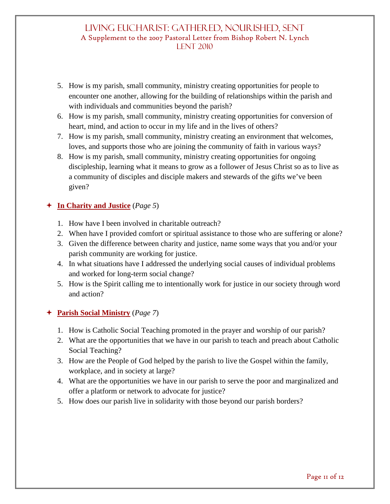- 5. How is my parish, small community, ministry creating opportunities for people to encounter one another, allowing for the building of relationships within the parish and with individuals and communities beyond the parish?
- 6. How is my parish, small community, ministry creating opportunities for conversion of heart, mind, and action to occur in my life and in the lives of others?
- 7. How is my parish, small community, ministry creating an environment that welcomes, loves, and supports those who are joining the community of faith in various ways?
- 8. How is my parish, small community, ministry creating opportunities for ongoing discipleship, learning what it means to grow as a follower of Jesus Christ so as to live as a community of disciples and disciple makers and stewards of the gifts we've been given?

## **In Charity and Justice** (*Page 5*)

- 1. How have I been involved in charitable outreach?
- 2. When have I provided comfort or spiritual assistance to those who are suffering or alone?
- 3. Given the difference between charity and justice, name some ways that you and/or your parish community are working for justice.
- 4. In what situations have I addressed the underlying social causes of individual problems and worked for long-term social change?
- 5. How is the Spirit calling me to intentionally work for justice in our society through word and action?

## **Parish Social Ministry** (*Page 7*)

- 1. How is Catholic Social Teaching promoted in the prayer and worship of our parish?
- 2. What are the opportunities that we have in our parish to teach and preach about Catholic Social Teaching?
- 3. How are the People of God helped by the parish to live the Gospel within the family, workplace, and in society at large?
- 4. What are the opportunities we have in our parish to serve the poor and marginalized and offer a platform or network to advocate for justice?
- 5. How does our parish live in solidarity with those beyond our parish borders?